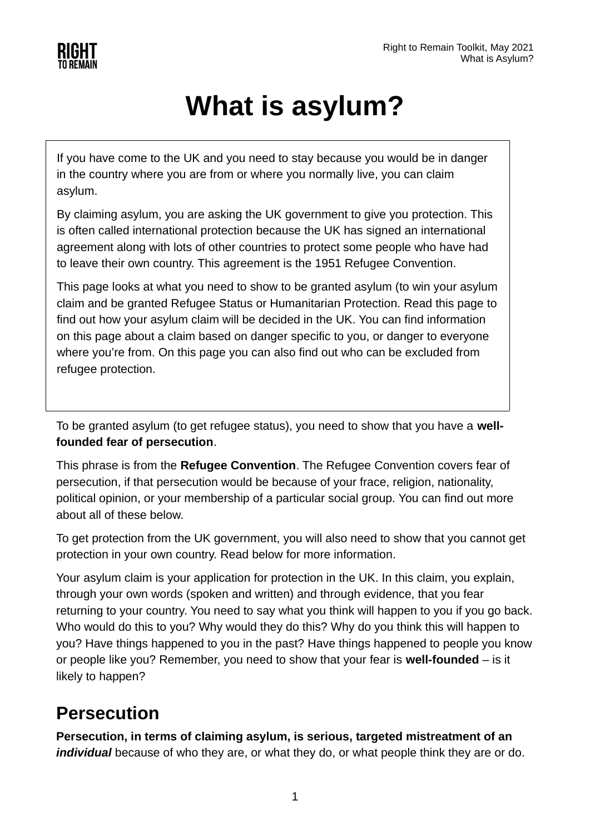

# **What is asylum?**

If you have come to the UK and you need to stay because you would be in danger in the country where you are from or where you normally live, you can claim asylum.

By claiming asylum, you are asking the UK government to give you protection. This is often called international protection because the UK has signed an international agreement along with lots of other countries to protect some people who have had to leave their own country. This agreement is the 1951 Refugee Convention.

This page looks at what you need to show to be granted asylum (to win your asylum claim and be granted Refugee Status or Humanitarian Protection. Read this page to find out how your asylum claim will be decided in the UK. You can find information on this page about a claim based on danger specific to you, or danger to everyone where you're from. On this page you can also find out who can be excluded from refugee protection.

To be granted asylum (to get refugee status), you need to show that you have a **wellfounded fear of persecution**.

This phrase is from the **Refugee Convention**. The Refugee Convention covers fear of persecution, if that persecution would be because of your frace, religion, nationality, political opinion, or your membership of a particular social group. You can find out more about all of these below.

To get protection from the UK government, you will also need to show that you cannot get protection in your own country. Read below for more information.

Your asylum claim is your application for protection in the UK. In this claim, you explain, through your own words (spoken and written) and through evidence, that you fear returning to your country. You need to say what you think will happen to you if you go back. Who would do this to you? Why would they do this? Why do you think this will happen to you? Have things happened to you in the past? Have things happened to people you know or people like you? Remember, you need to show that your fear is **well-founded** – is it likely to happen?

#### **Persecution**

**Persecution, in terms of claiming asylum, is serious, targeted mistreatment of an** *individual* because of who they are, or what they do, or what people think they are or do.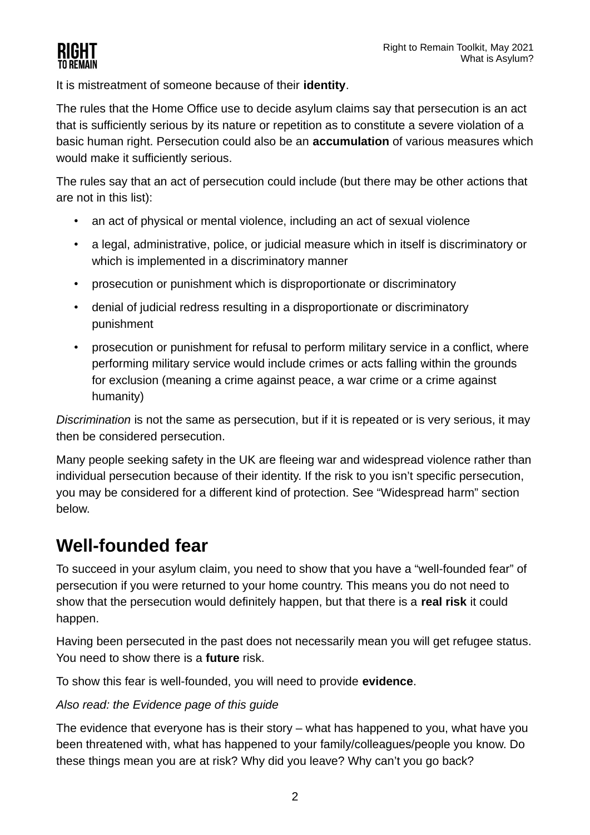

It is mistreatment of someone because of their **identity**.

The rules that the Home Office use to decide asylum claims say that persecution is an act that is sufficiently serious by its nature or repetition as to constitute a severe violation of a basic human right. Persecution could also be an **accumulation** of various measures which would make it sufficiently serious.

The rules say that an act of persecution could include (but there may be other actions that are not in this list):

- an act of physical or mental violence, including an act of sexual violence
- a legal, administrative, police, or judicial measure which in itself is discriminatory or which is implemented in a discriminatory manner
- prosecution or punishment which is disproportionate or discriminatory
- denial of judicial redress resulting in a disproportionate or discriminatory punishment
- prosecution or punishment for refusal to perform military service in a conflict, where performing military service would include crimes or acts falling within the grounds for exclusion (meaning a crime against peace, a war crime or a crime against humanity)

*Discrimination* is not the same as persecution, but if it is repeated or is very serious, it may then be considered persecution.

Many people seeking safety in the UK are fleeing war and widespread violence rather than individual persecution because of their identity. If the risk to you isn't specific persecution, you may be considered for a different kind of protection. See "Widespread harm" section below.

### **Well-founded fear**

To succeed in your asylum claim, you need to show that you have a "well-founded fear" of persecution if you were returned to your home country. This means you do not need to show that the persecution would definitely happen, but that there is a **real risk** it could happen.

Having been persecuted in the past does not necessarily mean you will get refugee status. You need to show there is a **future** risk.

To show this fear is well-founded, you will need to provide **evidence**.

#### *Also read: the Evidence page of this guide*

The evidence that everyone has is their story – what has happened to you, what have you been threatened with, what has happened to your family/colleagues/people you know. Do these things mean you are at risk? Why did you leave? Why can't you go back?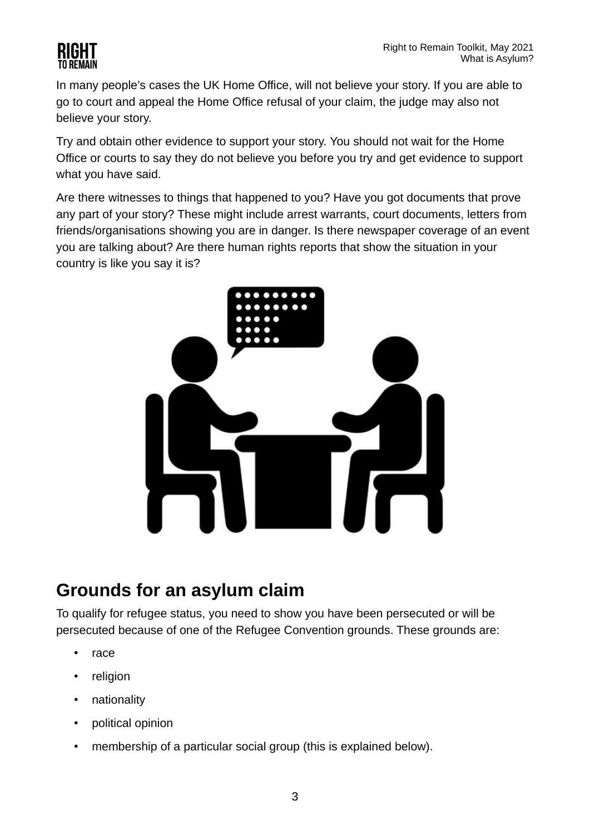

In many people's cases the UK Home Office, will not believe your story. If you are able to go to court and appeal the Home Office refusal of your claim, the judge may also not believe your story.

Try and obtain other evidence to support your story. You should not wait for the Home Office or courts to say they do not believe you before you try and get evidence to support what you have said.

Are there witnesses to things that happened to you? Have you got documents that prove any part of your story? These might include arrest warrants, court documents, letters from friends/organisations showing you are in danger. Is there newspaper coverage of an event you are talking about? Are there human rights reports that show the situation in your country is like you say it is?



#### **Grounds for an asylum claim**

To qualify for refugee status, you need to show you have been persecuted or will be persecuted because of one of the Refugee Convention grounds. These grounds are:

- race
- religion
- nationality
- political opinion
- membership of a particular social group (this is explained below).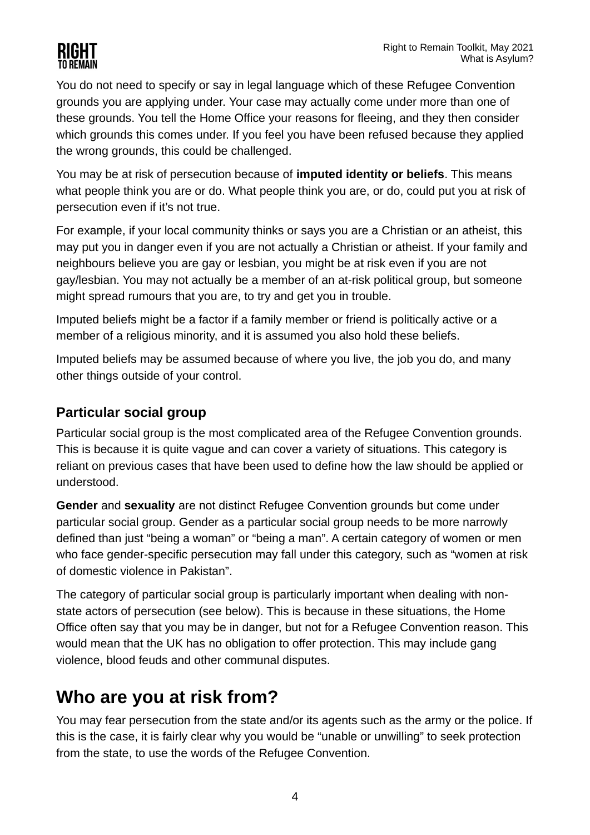

You do not need to specify or say in legal language which of these Refugee Convention grounds you are applying under. Your case may actually come under more than one of these grounds. You tell the Home Office your reasons for fleeing, and they then consider which grounds this comes under. If you feel you have been refused because they applied the wrong grounds, this could be challenged.

You may be at risk of persecution because of **imputed identity or beliefs**. This means what people think you are or do. What people think you are, or do, could put you at risk of persecution even if it's not true.

For example, if your local community thinks or says you are a Christian or an atheist, this may put you in danger even if you are not actually a Christian or atheist. If your family and neighbours believe you are gay or lesbian, you might be at risk even if you are not gay/lesbian. You may not actually be a member of an at-risk political group, but someone might spread rumours that you are, to try and get you in trouble.

Imputed beliefs might be a factor if a family member or friend is politically active or a member of a religious minority, and it is assumed you also hold these beliefs.

Imputed beliefs may be assumed because of where you live, the job you do, and many other things outside of your control.

#### **Particular social group**

Particular social group is the most complicated area of the Refugee Convention grounds. This is because it is quite vague and can cover a variety of situations. This category is reliant on previous cases that have been used to define how the law should be applied or understood.

**Gender** and **sexuality** are not distinct Refugee Convention grounds but come under particular social group. Gender as a particular social group needs to be more narrowly defined than just "being a woman" or "being a man". A certain category of women or men who face gender-specific persecution may fall under this category, such as "women at risk of domestic violence in Pakistan".

The category of particular social group is particularly important when dealing with nonstate actors of persecution (see below). This is because in these situations, the Home Office often say that you may be in danger, but not for a Refugee Convention reason. This would mean that the UK has no obligation to offer protection. This may include gang violence, blood feuds and other communal disputes.

#### **Who are you at risk from?**

You may fear persecution from the state and/or its agents such as the army or the police. If this is the case, it is fairly clear why you would be "unable or unwilling" to seek protection from the state, to use the words of the Refugee Convention.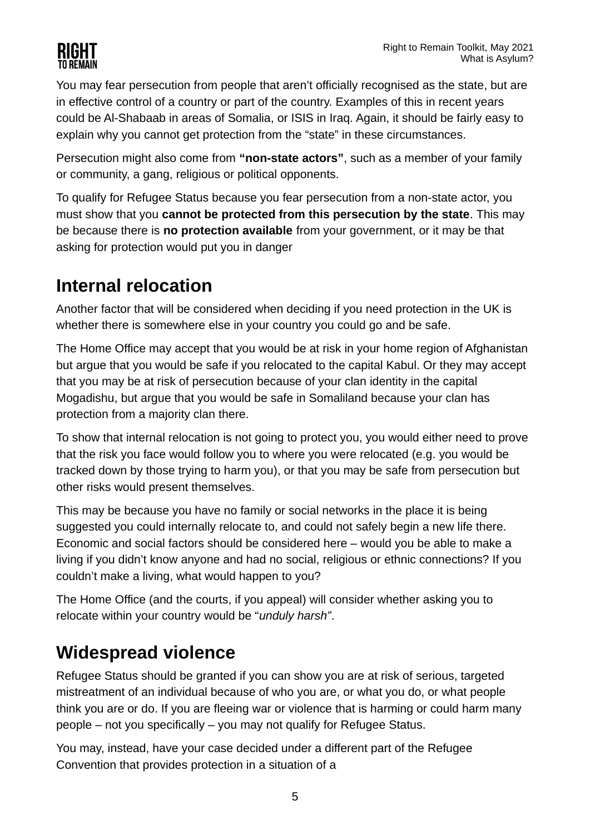You may fear persecution from people that aren't officially recognised as the state, but are in effective control of a country or part of the country. Examples of this in recent years could be Al-Shabaab in areas of Somalia, or ISIS in Iraq. Again, it should be fairly easy to explain why you cannot get protection from the "state" in these circumstances.

Persecution might also come from **"non-state actors"**, such as a member of your family or community, a gang, religious or political opponents.

To qualify for Refugee Status because you fear persecution from a non-state actor, you must show that you **cannot be protected from this persecution by the state**. This may be because there is **no protection available** from your government, or it may be that asking for protection would put you in danger

## **Internal relocation**

Another factor that will be considered when deciding if you need protection in the UK is whether there is somewhere else in your country you could go and be safe.

The Home Office may accept that you would be at risk in your home region of Afghanistan but argue that you would be safe if you relocated to the capital Kabul. Or they may accept that you may be at risk of persecution because of your clan identity in the capital Mogadishu, but argue that you would be safe in Somaliland because your clan has protection from a majority clan there.

To show that internal relocation is not going to protect you, you would either need to prove that the risk you face would follow you to where you were relocated (e.g. you would be tracked down by those trying to harm you), or that you may be safe from persecution but other risks would present themselves.

This may be because you have no family or social networks in the place it is being suggested you could internally relocate to, and could not safely begin a new life there. Economic and social factors should be considered here – would you be able to make a living if you didn't know anyone and had no social, religious or ethnic connections? If you couldn't make a living, what would happen to you?

The Home Office (and the courts, if you appeal) will consider whether asking you to relocate within your country would be "*unduly harsh"*.

### **Widespread violence**

Refugee Status should be granted if you can show you are at risk of serious, targeted mistreatment of an individual because of who you are, or what you do, or what people think you are or do. If you are fleeing war or violence that is harming or could harm many people – not you specifically – you may not qualify for Refugee Status.

You may, instead, have your case decided under a different part of the Refugee Convention that provides protection in a situation of a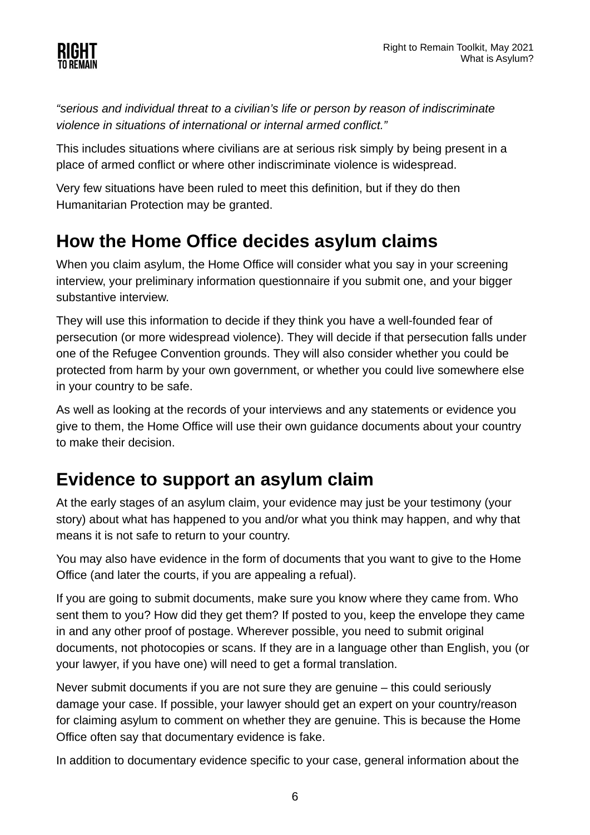

*"serious and individual threat to a civilian's life or person by reason of indiscriminate violence in situations of international or internal armed conflict."*

This includes situations where civilians are at serious risk simply by being present in a place of armed conflict or where other indiscriminate violence is widespread.

Very few situations have been ruled to meet this definition, but if they do then Humanitarian Protection may be granted.

#### **How the Home Office decides asylum claims**

When you claim asylum, the Home Office will consider what you say in your screening interview, your preliminary information questionnaire if you submit one, and your bigger substantive interview.

They will use this information to decide if they think you have a well-founded fear of persecution (or more widespread violence). They will decide if that persecution falls under one of the Refugee Convention grounds. They will also consider whether you could be protected from harm by your own government, or whether you could live somewhere else in your country to be safe.

As well as looking at the records of your interviews and any statements or evidence you give to them, the Home Office will use their own guidance documents about your country to make their decision.

#### **Evidence to support an asylum claim**

At the early stages of an asylum claim, your evidence may just be your testimony (your story) about what has happened to you and/or what you think may happen, and why that means it is not safe to return to your country.

You may also have evidence in the form of documents that you want to give to the Home Office (and later the courts, if you are appealing a refual).

If you are going to submit documents, make sure you know where they came from. Who sent them to you? How did they get them? If posted to you, keep the envelope they came in and any other proof of postage. Wherever possible, you need to submit original documents, not photocopies or scans. If they are in a language other than English, you (or your lawyer, if you have one) will need to get a formal translation.

Never submit documents if you are not sure they are genuine – this could seriously damage your case. If possible, your lawyer should get an expert on your country/reason for claiming asylum to comment on whether they are genuine. This is because the Home Office often say that documentary evidence is fake.

In addition to documentary evidence specific to your case, general information about the